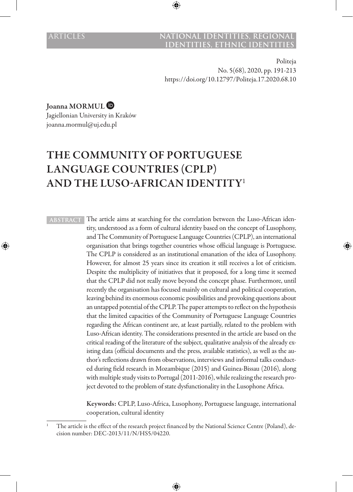### **ARTICLES NATIONAL IDENTITIES, REGIONAL IDENTITIES, ETHNIC IDENTI**

Politeja No. 5(68), 2020, pp. 191-213 https://doi.org/10.12797/Politeja.17.2020.68.10

Joanna MORMUL

Jagiellonian University in Kraków joanna.mormul@uj.edu.pl

# THE COMMUNITY OF PORTUGUESE LANGUAGE COUNTRIES (CPLP) AND THE LUSO-AFRICAN IDENTITY<sup>1</sup>

**ABSTRACT** The article aims at searching for the correlation between the Luso-African identity, understood as a form of cultural identity based on the concept of Lusophony, and The Community of Portuguese Language Countries (CPLP), an international organisation that brings together countries whose official language is Portuguese. The CPLP is considered as an institutional emanation of the idea of Lusophony. However, for almost 25 years since its creation it still receives a lot of criticism. Despite the multiplicity of initiatives that it proposed, for a long time it seemed that the CPLP did not really move beyond the concept phase. Furthermore, until recently the organisation has focused mainly on cultural and political cooperation, leaving behind its enormous economic possibilities and provoking questions about an untapped potential of the CPLP. The paper attempts to reflect on the hypothesis that the limited capacities of the Community of Portuguese Language Countries regarding the African continent are, at least partially, related to the problem with Luso-African identity. The considerations presented in the article are based on the critical reading of the literature of the subject, qualitative analysis of the already existing data (official documents and the press, available statistics), as well as the author's reflections drawn from observations, interviews and informal talks conducted during field research in Mozambique (2015) and Guinea-Bissau (2016), along with multiple study visits to Portugal (2011-2016), while realizing the research project devoted to the problem of state dysfunctionality in the Lusophone Africa.

> Keywords: CPLP, Luso-Africa, Lusophony, Portuguese language, international cooperation, cultural identity

The article is the effect of the research project financed by the National Science Centre (Poland), decision number: DEC-2013/11/N/HS5/04220.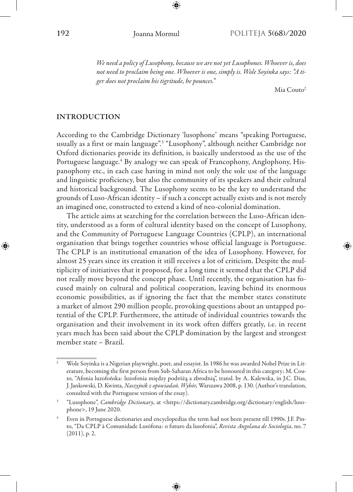*We need a policy of Lusophony, because we are not yet Lusophones. Whoever is, does not need to proclaim being one. Whoever is one, simply is. Wole Soyinka says: "A tiger does not proclaim his tigritude, he pounces."*

Mia Couto<sup>2</sup>

### INTRODUCTION

According to the Cambridge Dictionary 'lusophone' means "speaking Portuguese, usually as a first or main language".<sup>3</sup> "Lusophony", although neither Cambridge nor Oxford dictionaries provide its definition, is basically understood as the use of the Portuguese language.4 By analogy we can speak of Francophony, Anglophony, Hispanophony etc., in each case having in mind not only the sole use of the language and linguistic proficiency, but also the community of its speakers and their cultural and historical background. The Lusophony seems to be the key to understand the grounds of Luso-African identity – if such a concept actually exists and is not merely an imagined one, constructed to extend a kind of neo-colonial domination.

The article aims at searching for the correlation between the Luso-African identity, understood as a form of cultural identity based on the concept of Lusophony, and the Community of Portuguese Language Countries (CPLP), an international organisation that brings together countries whose official language is Portuguese. The CPLP is an institutional emanation of the idea of Lusophony. However, for almost 25 years since its creation it still receives a lot of criticism. Despite the multiplicity of initiatives that it proposed, for a long time it seemed that the CPLP did not really move beyond the concept phase. Until recently, the organisation has focused mainly on cultural and political cooperation, leaving behind its enormous economic possibilities, as if ignoring the fact that the member states constitute a market of almost 290 million people, provoking questions about an untapped potential of the CPLP. Furthermore, the attitude of individual countries towards the organisation and their involvement in its work often differs greatly, i.e. in recent years much has been said about the CPLP domination by the largest and strongest member state – Brazil.

<sup>&</sup>lt;sup>2</sup> Wole Soyinka is a Nigerian playwright, poet, and essayist. In 1986 he was awarded Nobel Prize in Literature, becoming the first person from Sub-Saharan Africa to be honoured in this category; M. Couto, "Afonia luzofońska: luzofonia między podróżą a zbrodnią", transl. by A. Kalewska, in J.C. Dias, J. Jankowski, D. Kwinta, *Naszyjnik z opowiadań. Wybór,* Warszawa 2008, p. 130. (Author's translation, consulted with the Portuguese version of the essay).

<sup>3</sup> "Lusophone", *Cambridge Dictionary*, at <https://dictionary.cambridge.org/dictionary/english/lusophone>, 19 June 2020.

<sup>4</sup> Even in Portuguese dictionaries and encyclopedias the term had not been present till 1990s. J.F. Pinto, "Da CPLP à Comunidade Lusófona: o futuro da lusofonia", *Revista Angolana de Sociologia*, no. 7 (2011), p. 2.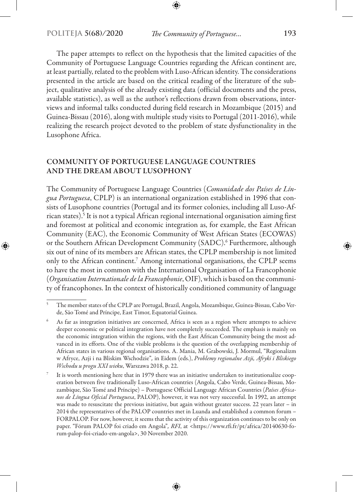The paper attempts to reflect on the hypothesis that the limited capacities of the Community of Portuguese Language Countries regarding the African continent are, at least partially, related to the problem with Luso-African identity. The considerations presented in the article are based on the critical reading of the literature of the subject, qualitative analysis of the already existing data (official documents and the press, available statistics), as well as the author's reflections drawn from observations, interviews and informal talks conducted during field research in Mozambique (2015) and Guinea-Bissau (2016), along with multiple study visits to Portugal (2011-2016), while realizing the research project devoted to the problem of state dysfunctionality in the Lusophone Africa.

# COMMUNITY OF PORTUGUESE LANGUAGE COUNTRIES AND THE DREAM ABOUT LUSOPHONY

The Community of Portuguese Language Countries (*Comunidade dos Países de Língua Portuguesa*, CPLP) is an international organization established in 1996 that consists of Lusophone countries (Portugal and its former colonies, including all Luso-African states).<sup>5</sup> It is not a typical African regional international organisation aiming first and foremost at political and economic integration as, for example, the East African Community (EAC), the Economic Community of West African States (ECOWAS) or the Southern African Development Community (SADC).<sup>6</sup> Furthermore, although six out of nine of its members are African states, the CPLP membership is not limited only to the African continent.<sup>7</sup> Among international organisations, the CPLP seems to have the most in common with the International Organisation of La Francophonie (*Organisation Internationale de la Francophonie*, OIF), which is based on the community of francophones. In the context of historically conditioned community of language

<sup>5</sup> The member states of the CPLP are Portugal, Brazil, Angola, Mozambique, Guinea-Bissau, Cabo Verde, São Tomé and Príncipe, East Timor, Equatorial Guinea.

<sup>6</sup> As far as integration initiatives are concerned, Africa is seen as a region where attempts to achieve deeper economic or political integration have not completely succeeded. The emphasis is mainly on the economic integration within the regions, with the East African Community being the most advanced in its efforts. One of the visible problems is the question of the overlapping membership of African states in various regional organisations. A. Mania, M. Grabowski, J. Mormul, "Regionalizm w Afryce, Azji i na Bliskim Wschodzie"*,* in Eidem (eds.), *Problemy regionalne Azji, Afryki i Bliskiego Wschodu u progu XXI wieku*, Warszawa 2018, p. 22.

It is worth mentioning here that in 1979 there was an initiative undertaken to institutionalize cooperation between five traditionally Luso-African countries (Angola, Cabo Verde, Guinea-Bissau, Mozambique, São Tomé and Príncipe) – Portuguese Official Language African Countries (*Países Africanos de Língua Oficial Portuguesa*, PALOP), however, it was not very successful. In 1992, an attempt was made to resuscitate the previous initiative, but again without greater success. 22 years later – in 2014 the representatives of the PALOP countries met in Luanda and established a common forum – FORPALOP. For now, however, it seems that the activity of this organization continues to be only on paper. "Fórum PALOP foi criado em Angola"*, RFI*, at <https://www.rfi.fr/pt/africa/20140630-forum-palop-foi-criado-em-angola>, 30 November 2020.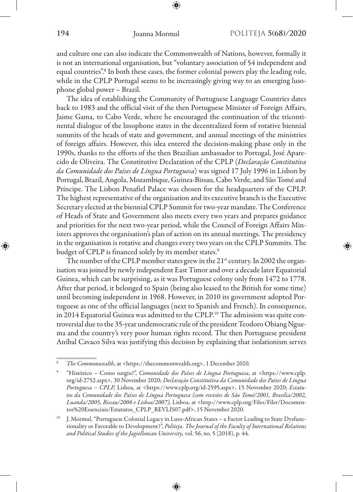and culture one can also indicate the Commonwealth of Nations, however, formally it is not an international organisation, but "voluntary association of 54 independent and equal countries".<sup>8</sup> In both these cases, the former colonial powers play the leading role, while in the CPLP Portugal seems to be increasingly giving way to an emerging lusophone global power – Brazil.

The idea of establishing the Community of Portuguese Language Countries dates back to 1983 and the official visit of the then Portuguese Minister of Foreign Affairs, Jaime Gama, to Cabo Verde, where he encouraged the continuation of the tricontinental dialogue of the lusophone states in the decentralized form of rotative biennial summits of the heads of state and government, and annual meetings of the ministries of foreign affairs. However, this idea entered the decision-making phase only in the 1990s, thanks to the efforts of the then Brazilian ambassador to Portugal, José Aparecido de Oliveira. The Constitutive Declaration of the CPLP (*Declaração Constitutiva da Comunidade dos Países de Língua Portuguesa*) was signed 17 July 1996 in Lisbon by Portugal, Brazil, Angola, Mozambique, Guinea-Bissau, Cabo Verde, and São Tomé and Príncipe. The Lisbon Penafiel Palace was chosen for the headquarters of the CPLP. The highest representative of the organisation and its executive branch is the Executive Secretary elected at the biennial CPLP Summit for two-year mandate. The Conference of Heads of State and Government also meets every two years and prepares guidance and priorities for the next two-year period, while the Council of Foreign Affairs Ministers approves the organisation's plan of action on its annual meetings. The presidency in the organisation is rotative and changes every two years on the CPLP Summits. The budget of CPLP is financed solely by its member states.<sup>9</sup>

The number of the CPLP member states grew in the 21<sup>st</sup> century. In 2002 the organisation was joined by newly independent East Timor and over a decade later Equatorial Guinea, which can be surprising, as it was Portuguese colony only from 1472 to 1778. After that period, it belonged to Spain (being also leased to the British for some time) until becoming independent in 1968. However, in 2010 its government adopted Portuguese as one of the official languages (next to Spanish and French). In consequence, in 2014 Equatorial Guinea was admitted to the CPLP.<sup>10</sup> The admission was quite controversial due to the 35-year undemocratic rule of the president Teodoro Obiang Nguema and the country's very poor human rights record. The then Portuguese president Aníbal Cavaco Silva was justifying this decision by explaining that isolationism serves

<sup>8</sup> *The Commonwealth*, at <https://thecommonwealth.org>, 1 December 2020.

<sup>9</sup> "Histórico – Como surgiu?", *Comunidade dos Países de Língua Portuguesa*, at <https://www.cplp. org/id-2752.aspx>, 30 November 2020; *Declaração Constitutiva da Comunidade dos Países de Língua Portuguesa – CPLP,* Lisboa, at <https://www.cplp.org/id-2595.aspx>, 15 November 2020; *Estatutos da Comunidade dos Países de Língua Portuguesa (com revisões de São Tomé/2001, Brasília/2002, Luanda/2005, Bissau/2006 e Lisboa/2007),* Lisboa, at <http://www.cplp.org/Files/Filer/Documentos%20Essenciais/Estatutos\_CPLP\_REVLIS07.pdf>, 15 November 2020.

<sup>&</sup>lt;sup>10</sup> J. Mormul, "Portuguese Colonial Legacy in Luso-African States – a Factor Leading to State Dysfunctionality or Favorable to Development?", *Politeja. The Journal of the Faculty of International Relations and Political Studies of the Jagiellonian University,* vol. 56, no. 5 (2018), p. 44.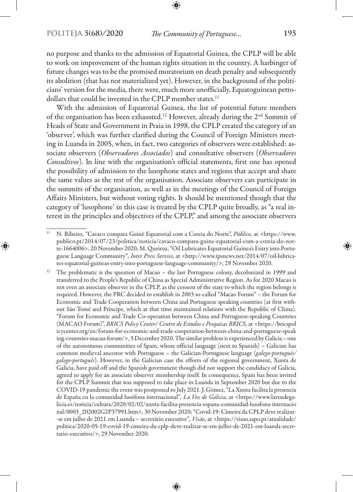no purpose and thanks to the admission of Equatorial Guinea, the CPLP will be able to work on improvement of the human rights situation in the country. A harbinger of future changes was to be the promised moratorium on death penalty and subsequently its abolition (that has not materialized yet). However, in the background of the politicians' version for the media, there were, much more unofficially, Equatoguinean petrodollars that could be invested in the CPLP member states.<sup>11</sup>

With the admission of Equatorial Guinea, the list of potential future members of the organisation has been exhausted.12 However, already during the 2nd Summit of Heads of State and Government in Praia in 1998, the CPLP created the category of an 'observer', which was further clarified during the Council of Foreign Ministers meeting in Luanda in 2005, when, in fact, two categories of observers were established: associate observers (*Observadores Associados*) and consultative observers (*Observadores Consultivos*). In line with the organisation's official statements, first one has opened the possibility of admission to the lusophone states and regions that accept and share the same values as the rest of the organisation. Associate observers can participate in the summits of the organisation, as well as in the meetings of the Council of Foreign Affairs Ministers, but without voting rights. It should be mentioned though that the category of 'lusophone' in this case is treated by the CPLP quite broadly, as "a real interest in the principles and objectives of the CPLP," and among the associate observers

<sup>11</sup> N. Ribeiro, "Cavaco compara Guiné Equatorial com a Coreia do Norte", *Público,* at <https://www. publico.pt/2014/07/23/politica/noticia/cavaco-compara-guine-equatorial-com-a-coreia-do-norte-1664006>, 20 November 2020; M. Queiroz, "Oil Lubricates Equatorial Guinea's Entry into Portuguese Language Community"*, Inter Press Service,* at <http://www.ipsnews.net/2014/07/oil-lubricates-equatorial-guineas-entry-into-portuguese-language-community/>, 29 November 2020.

<sup>12</sup> The problematic is the question of Macao – the last Portuguese colony, decolonized in 1999 and transferred to the People's Republic of China as Special Administrative Region. As for 2020 Macao is not even an associate observer in the CPLP, as the consent of the state to which the region belongs is required. However, the PRC decided to establish in 2003 so-called "Macao Forum" – the Forum for Economic and Trade Cooperation between China and Portuguese speaking countries (at first without São Tomé and Príncipe, which at that time maintained relations with the Republic of China). "Forum for Economic and Trade Co-operation between China and Portuguese-speaking Countries (MACAO Forum)", *BRICS Policy Center/ Centro de Estudos e Pesquisas BRICS*, at <https://bricspol icycenter.org/en/forum-for-economic-and-trade-cooperation-between-china-and-portuguese-speak ing-countries-macau-forum/>, 5 December 2020. The similar problem is experienced by Galicia – one of the autonomous communities of Spain, whose official language (next to Spanish) – Galician has common medieval ancestor with Portuguese – the Galician-Portuguese language (*galego -portugués/ galego -português*). However, in the Galician case the efforts of the regional government, Xunta de Galicia, have paid off and the Spanish government though did not support the candidacy of Galicia, agreed to apply for an associate observer membership itself. In consequence, Spain has been invited for the CPLP Summit that was supposed to take place in Luanda in September 2020 but due to the COVID-19 pandemic the event was postponed to July 2021. J. Gómez, "La Xunta facilita la presencia de España en la comunidad lusófona internacional"*, La Voz de Galicia*, at <https://www.lavozdegalicia.es/noticia/cultura/2020/02/02/xunta-facilita-presencia-espana-comunidad-lusofona-internacio nal/0003\_202002G2P37991.htm>, 30 November 2020; "Covid-19: Cimeira da CPLP deve realizar- -se em julho de 2021 em Luanda – secretário executive"*, Visão*, at <https://visao.sapo.pt/atualidade/ politica/2020-05-19-covid-19-cimeira-da-cplp-deve-realizar-se-em-julho-de-2021-em-luanda-secretario-executivo/>, 29 November 2020.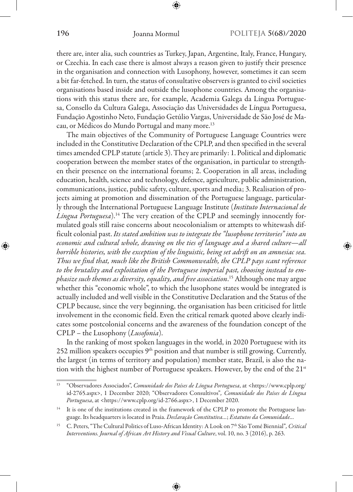there are, inter alia, such countries as Turkey, Japan, Argentine, Italy, France, Hungary, or Czechia. In each case there is almost always a reason given to justify their presence in the organisation and connection with Lusophony, however, sometimes it can seem a bit far-fetched. In turn, the status of consultative observers is granted to civil societies organisations based inside and outside the lusophone countries. Among the organisations with this status there are, for example, Academia Galega da Língua Portuguesa, Consello da Cultura Galega, Associação das Universidades de Língua Portuguesa, Fundação Agostinho Neto, Fundação Getúlio Vargas, Universidade de São José de Macau, or Médicos do Mundo Portugal and many more.13

The main objectives of the Community of Portuguese Language Countries were included in the Constitutive Declaration of the CPLP, and then specified in the several times amended CPLP statute (article 3). They are primarily: 1. Political and diplomatic cooperation between the member states of the organisation, in particular to strengthen their presence on the international forums; 2. Cooperation in all areas, including education, health, science and technology, defence, agriculture, public administration, communications, justice, public safety, culture, sports and media; 3. Realisation of projects aiming at promotion and dissemination of the Portuguese language, particularly through the International Portuguese Language Institute (*Instituto Internacional de Língua Portuguesa*).14 The very creation of the CPLP and seemingly innocently formulated goals still raise concerns about neocolonialism or attempts to whitewash difficult colonial past. *Its stated ambition was to integrate the "lusophone territories" into an economic and cultural whole, drawing on the ties of language and a shared culture—all horrible histories, with the exception of the linguistic, being set adrift on an amnesiac sea. Thus we find that, much like the British Commonwealth, the CPLP pays scant reference to the brutality and exploitation of the Portuguese imperial past, choosing instead to emphasize such themes as diversity, equality, and free association*. 15 Although one may argue whether this "economic whole", to which the lusophone states would be integrated is actually included and well visible in the Constitutive Declaration and the Status of the CPLP because, since the very beginning, the organisation has been criticised for little involvement in the economic field. Even the critical remark quoted above clearly indicates some postcolonial concerns and the awareness of the foundation concept of the CPLP – the Lusophony (*Lusofonia*).

In the ranking of most spoken languages in the world, in 2020 Portuguese with its 252 million speakers occupies 9<sup>th</sup> position and that number is still growing. Currently, the largest (in terms of territory and population) member state, Brazil, is also the nation with the highest number of Portuguese speakers. However, by the end of the 21<sup>st</sup>

<sup>13</sup> "Observadores Associados", *Comunidade dos Países de Língua Portuguesa*, at <https://www.cplp.org/ id-2765.aspx>, 1 December 2020; "Observadores Consultivos"*, Comunidade dos Países de Língua Portuguesa*, at <https://www.cplp.org/id-2766.aspx>, 1 December 2020.

<sup>&</sup>lt;sup>14</sup> It is one of the institutions created in the framework of the CPLP to promote the Portuguese language. Its headquarters is located in Praia. *Declaração Constitutiva…*; *Estatutos da Comunidade…*

<sup>15</sup> C. Peters, "The Cultural Politics of Luso-African Identity: A Look on 7th São Tomé Biennial"*, Critical Interventions. Journal of African Art History and Visual Culture*, vol. 10, no. 3 (2016), p. 263.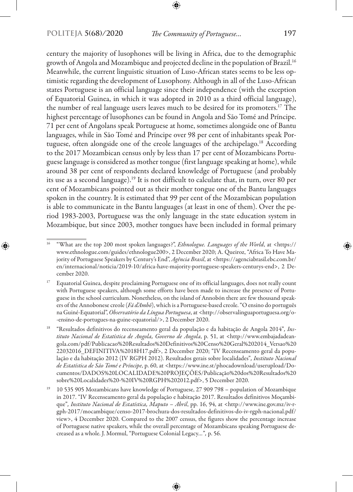century the majority of lusophones will be living in Africa, due to the demographic growth of Angola and Mozambique and projected decline in the population of Brazil.16 Meanwhile, the current linguistic situation of Luso-African states seems to be less optimistic regarding the development of Lusophony. Although in all of the Luso-African states Portuguese is an official language since their independence (with the exception of Equatorial Guinea, in which it was adopted in 2010 as a third official language), the number of real language users leaves much to be desired for its promoters.17 The highest percentage of lusophones can be found in Angola and São Tomé and Príncipe. 71 per cent of Angolans speak Portuguese at home, sometimes alongside one of Bantu languages, while in São Tomé and Príncipe over 98 per cent of inhabitants speak Portuguese, often alongside one of the creole languages of the archipelago.18 According to the 2017 Mozambican census only by less than 17 per cent of Mozambicans Portuguese language is considered as mother tongue (first language speaking at home), while around 38 per cent of respondents declared knowledge of Portuguese (and probably its use as a second language).19 It is not difficult to calculate that, in turn, over 80 per cent of Mozambicans pointed out as their mother tongue one of the Bantu languages spoken in the country. It is estimated that 99 per cent of the Mozambican population is able to communicate in the Bantu languages (at least in one of them). Over the period 1983-2003, Portuguese was the only language in the state education system in Mozambique, but since 2003, mother tongues have been included in formal primary

<sup>16</sup> "What are the top 200 most spoken languages?", *Ethnologue. Languages of the World*, at <https:// www.ethnologue.com/guides/ethnologue200>, 2 December 2020; A. Queiroz, "Africa To Have Majority of Portuguese Speakers by Century's End", *Agência Brasil*, at <https://agenciabrasil.ebc.com.br/ en/internacional/noticia/2019-10/africa-have-majority-portuguese-speakers-centurys-end>, 2 December 2020.

<sup>&</sup>lt;sup>17</sup> Equatorial Guinea, despite proclaiming Portuguese one of its official languages, does not really count with Portuguese speakers, although some efforts have been made to increase the presence of Portuguese in the school curriculum. Nonetheless, on the island of Annobón there are few thousand speakers of the Annobonese creole (*Fá d'Ambô*), which is a Portuguese-based creole. "O ensino do português na Guiné-Equatorial", *Observatório da Língua Portuguesa*, at <http://observalinguaportuguesa.org/o- -ensino-de-portugues-na-guine-equatorial/>, 2 December 2020.

<sup>18</sup> "Resultados definitivos do recenseamento geral da população e da habitação de Angola 2014"*, Instituto Nacional de Estatística de Angola, Governo de Angola*, p. 51, at <http://www.embajadadeangola.com/pdf/Publicacao%20Resultados%20Definitivos%20Censo%20Geral%202014\_Versao%20 22032016\_DEFINITIVA%2018H17.pdf>, 2 December 2020; "IV Recenseamento geral da população e da habitação 2012 (IV RGPH 2012). Resultados gerais sobre localidades"*, Instituto Nacional de Estatística de São Tomé e Príncipe*, p. 60, at <https://www.ine.st/phocadownload/userupload/Documentos/DADOS%20LOCALIDADE%20PROJEÇÕES/Publicação%20dos%20Resultados%20 sobre%20Localidades%20-%20IV%20RGPH%202012.pdf>, 5 December 2020.

<sup>&</sup>lt;sup>19</sup> 10 535 905 Mozambicans have knowledge of Portuguese, 27 909 798 – population of Mozambique in 2017. "IV Recenseamento geral da população e habitação 2017. Resultados definitivos Moçambique"*, Instituto Nacional de Estatística, Maputo – Abril*, pp. 16, 94, at <http://www.ine.gov.mz/iv-rgph-2017/mocambique/censo-2017-brochura-dos-resultados-definitivos-do-iv-rgph-nacional.pdf/ view>, 4 December 2020. Compared to the 2007 census, the figures show the percentage increase of Portuguese native speakers, while the overall percentage of Mozambicans speaking Portuguese decreased as a whole. J. Mormul, "Portuguese Colonial Legacy*…*"*,* p. 56.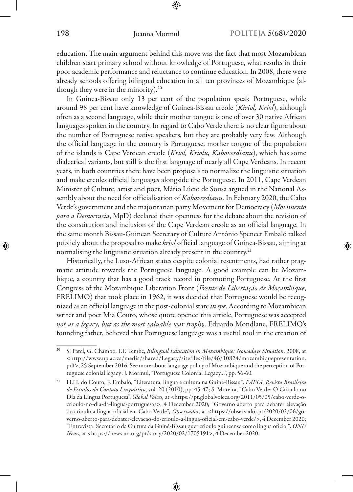education. The main argument behind this move was the fact that most Mozambican children start primary school without knowledge of Portuguese, what results in their poor academic performance and reluctance to continue education. In 2008, there were already schools offering bilingual education in all ten provinces of Mozambique (although they were in the minority).<sup>20</sup>

In Guinea-Bissau only 13 per cent of the population speak Portuguese, while around 98 per cent have knowledge of Guinea-Bissau creole (*Kiriol, Kriol*), although often as a second language, while their mother tongue is one of over 30 native African languages spoken in the country. In regard to Cabo Verde there is no clear figure about the number of Portuguese native speakers, but they are probably very few. Although the official language in the country is Portuguese, mother tongue of the population of the islands is Cape Verdean creole (*Kriol, Kriolu, Kaboverdianu*), which has some dialectical variants, but still is the first language of nearly all Cape Verdeans. In recent years, in both countries there have been proposals to normalize the linguistic situation and make creoles official languages alongside the Portuguese. In 2011, Cape Verdean Minister of Culture, artist and poet, Mário Lúcio de Sousa argued in the National Assembly about the need for officialisation of *Kaboverdianu.* In February 2020, the Cabo Verde's government and the majoritarian party Movement for Democracy (*Movimento para a Democracia*, MpD) declared their openness for the debate about the revision of the constitution and inclusion of the Cape Verdean creole as an official language. In the same month Bissau-Guinean Secretary of Culture António Spencer Embaló talked publicly about the proposal to make *kriol* official language of Guinea-Bissau, aiming at normalising the linguistic situation already present in the country.<sup>21</sup>

Historically, the Luso-African states despite colonial resentments, had rather pragmatic attitude towards the Portuguese language. A good example can be Mozambique, a country that has a good track record in promoting Portuguese. At the first Congress of the Mozambique Liberation Front (*Frente de Libertação de Moçambique*, FRELIMO) that took place in 1962, it was decided that Portuguese would be recognized as an official language in the post-colonial state *in spe*. According to Mozambican writer and poet Mia Couto, whose quote opened this article, Portuguese was accepted *not as a legacy, but as the most valuable war trophy*. Eduardo Mondlane, FRELIMO's founding father, believed that Portuguese language was a useful tool in the creation of

<sup>20</sup> S. Patel, G. Chambo, F.F. Tembe, *Bilingual Education in Mozambique: Nowadays Situation*, 2008, at <http://www.up.ac.za/media/shared/Legacy/sitefiles/file/46/10824/mozambiquepresentation. pdf>, 25 September 2016. See more about language policy of Mozambique and the perception of Portuguese colonial legacy: J. Mormul, "Portuguese Colonial Legacy…", pp. 56-60.

<sup>21</sup> H.H. do Couto, F. Embaló, "Literatura, língua e cultura na Guiné-Bissau"*, PAPIA. Revista Brasileira de Estudos do Contato Linguístico*, vol. 20 (2010), pp. 45-47; S. Moreira, "Cabo Verde: O Crioulo no Dia da Língua Portuguesa", *Global Voices*, at <https://pt.globalvoices.org/2011/05/05/cabo-verde-ocrioulo-no-dia-da-lingua-portuguesa/>, 4 December 2020; "Governo aberto para debater elevação do crioulo a língua oficial em Cabo Verde"*, Observador*, at <https://observador.pt/2020/02/06/governo-aberto-para-debater-elevacao-do-crioulo-a-lingua-oficial-em-cabo-verde/>, 4 December 2020; "Entrevista: Secretário da Cultura da Guiné-Bissau quer crioulo guineense como língua oficial"*, ONU News*, at <https://news.un.org/pt/story/2020/02/1705191>, 4 December 2020.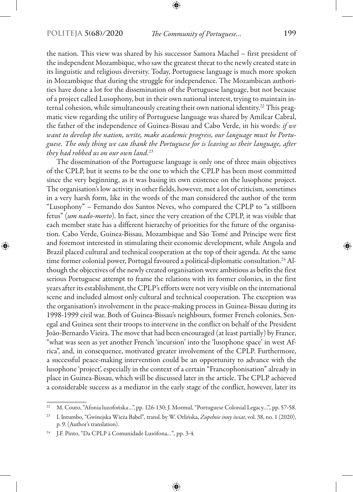the nation. This view was shared by his successor Samora Machel – first president of the independent Mozambique, who saw the greatest threat to the newly created state in its linguistic and religious diversity. Today, Portuguese language is much more spoken in Mozambique that during the struggle for independence. The Mozambican authorities have done a lot for the dissemination of the Portuguese language, but not because of a project called Lusophony, but in their own national interest, trying to maintain internal cohesion, while simultaneously creating their own national identity.<sup>22</sup> This pragmatic view regarding the utility of Portuguese language was shared by Amílcar Cabral, the father of the independence of Guinea-Bissau and Cabo Verde, in his words: *if we want to develop the nation, write, make academic progress, our language must be Portuguese. The only thing we can thank the Portuguese for is leaving us their language, after they had robbed us on our own land.*<sup>23</sup>

The dissemination of the Portuguese language is only one of three main objectives of the CPLP, but it seems to be the one to which the CPLP has been most committed since the very beginning, as it was basing its own existence on the lusophone project. The organisation's low activity in other fields, however, met a lot of criticism, sometimes in a very harsh form, like in the words of the man considered the author of the term "Lusophony" – Fernando dos Santos Neves, who compared the CPLP to "a stillborn fetus" (*um nado-morto*). In fact, since the very creation of the CPLP, it was visible that each member state has a different hierarchy of priorities for the future of the organisation. Cabo Verde, Guinea-Bissau, Mozambique and São Tomé and Príncipe were first and foremost interested in stimulating their economic development, while Angola and Brazil placed cultural and technical cooperation at the top of their agenda. At the same time former colonial power, Portugal favoured a political-diplomatic consultation.<sup>24</sup> Although the objectives of the newly created organisation were ambitious as befits the first serious Portuguese attempt to frame the relations with its former colonies, in the first years after its establishment, the CPLP's efforts were not very visible on the international scene and included almost only cultural and technical cooperation. The exception was the organisation's involvement in the peace-making process in Guinea-Bissau during its 1998-1999 civil war. Both of Guinea-Bissau's neighbours, former French colonies, Senegal and Guinea sent their troops to intervene in the conflict on behalf of the President João-Bernardo Vieira. The move that had been encouraged (at least partially) by France, "what was seen as yet another French 'incursion' into the 'lusophone space' in west Africa", and, in consequence, motivated greater involvement of the CPLP. Furthermore, a successful peace-making intervention could be an opportunity to advance with the lusophone 'project', especially in the context of a certain "Francophonisation" already in place in Guinea-Bissau, which will be discussed later in the article. The CPLP achieved a considerable success as a mediator in the early stage of the conflict, however, later its

<sup>22</sup> M. Couto, "Afonia luzofońska…", pp. 126-130; J. Mormul, "Portuguese Colonial Legacy…"*,* pp. 57-58.

<sup>23</sup> I. Intumbo, "Gwinejska Wieża Babel"*,* transl. by W. Orlińska, *Zupełnie inny świat*, vol. 38, no. 1 (2020), p. 9. (Author's translation).

<sup>24</sup> J.F. Pinto, "Da CPLP à Comunidade Lusófona*…*"*,* pp. 3-4.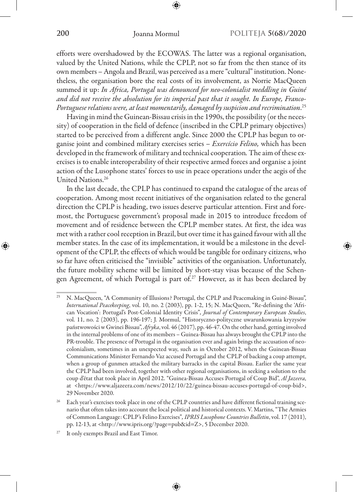efforts were overshadowed by the ECOWAS. The latter was a regional organisation, valued by the United Nations, while the CPLP, not so far from the then stance of its own members – Angola and Brazil, was perceived as a mere "cultural" institution. Nonetheless, the organisation bore the real costs of its involvement, as Norrie MacQueen summed it up: *In Africa, Portugal was denounced for neo-colonialist meddling in Guiné and did not receive the absolution for its imperial past that it sought. In Europe, Franco-Portugueserelations were, at least momentarily, damaged by suspicion and recrimination*. 25

Having in mind the Guinean-Bissau crisis in the 1990s, the possibility (or the necessity) of cooperation in the field of defence (inscribed in the CPLP primary objectives) started to be perceived from a different angle. Since 2000 the CPLP has begun to organise joint and combined military exercises series – *Exercício Felino,* which has been developed in the framework of military and technical cooperation*.* The aim of these exercises is to enable interoperability of their respective armed forces and organise a joint action of the Lusophone states' forces to use in peace operations under the aegis of the United Nations.26

In the last decade, the CPLP has continued to expand the catalogue of the areas of cooperation. Among most recent initiatives of the organisation related to the general direction the CPLP is heading, two issues deserve particular attention. First and foremost, the Portuguese government's proposal made in 2015 to introduce freedom of movement and of residence between the CPLP member states. At first, the idea was met with a rather cool reception in Brazil, but over time it has gained favour with all the member states. In the case of its implementation, it would be a milestone in the development of the CPLP, the effects of which would be tangible for ordinary citizens, who so far have often criticised the "invisible" activities of the organisation. Unfortunately, the future mobility scheme will be limited by short-stay visas because of the Schengen Agreement, of which Portugal is part of.<sup>27</sup> However, as it has been declared by

<sup>&</sup>lt;sup>25</sup> N. MacQueen, "A Community of Illusions? Portugal, the CPLP and Peacemaking in Guiné-Bissau", *International Peacekeeping*, vol. 10, no. 2 (2003), pp. 1-2, 15; N. MacQueen, "Re-defining the 'African Vocation': Portugal's Post-Colonial Identity Crisis"*, Journal of Contemporary European Studies*, vol. 11, no. 2 (2003), pp. 196-197; J. Mormul, "Historyczno-polityczne uwarunkowania kryzysów państwowości w Gwinei Bissau", *Afryka*, vol. 46 (2017), pp. 46-47. On the other hand, getting involved in the internal problems of one of its members – Guinea-Bissau has always brought the CPLP into the PR-trouble. The presence of Portugal in the organisation ever and again brings the accusation of neocolonialism, sometimes in an unexpected way, such as in October 2012, when the Guinean-Bissau Communications Minister Fernando Vaz accused Portugal and the CPLP of backing a coup attempt, when a group of gunmen attacked the military barracks in the capital Bissau. Earlier the same year the CPLP had been involved, together with other regional organisations, in seeking a solution to the coup d'état that took place in April 2012. "Guinea-Bissau Accuses Portugal of Coup Bid", *Al Jazeera*, at <https://www.aljazeera.com/news/2012/10/22/guinea-bissau-accuses-portugal-of-coup-bid>, 29 November 2020.

<sup>&</sup>lt;sup>26</sup> Each year's exercises took place in one of the CPLP countries and have different fictional training scenario that often takes into account the local political and historical contexts. V. Martins, "The Armies of Common Language: CPLP's Felino Exercises"*, IPRIS Lusophone Countries Bulletin*, vol. 17 (2011), pp. 12-13, at <http://www.ipris.org/?page=pub&id=Z>, 5 December 2020.

<sup>&</sup>lt;sup>27</sup> It only exempts Brazil and East Timor.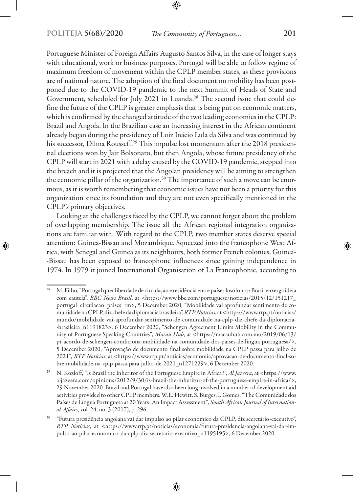Portuguese Minister of Foreign Affairs Augusto Santos Silva, in the case of longer stays with educational, work or business purposes, Portugal will be able to follow regime of maximum freedom of movement within the CPLP member states, as these provisions are of national nature. The adoption of the final document on mobility has been postponed due to the COVID-19 pandemic to the next Summit of Heads of State and Government, scheduled for July 2021 in Luanda.28 The second issue that could define the future of the CPLP is greater emphasis that is being put on economic matters, which is confirmed by the changed attitude of the two leading economies in the CPLP: Brazil and Angola. In the Brazilian case an increasing interest in the African continent already began during the presidency of Luiz Inácio Lula da Silva and was continued by his successor, Dilma Rousseff.29 This impulse lost momentum after the 2018 presidential elections won by Jair Bolsonaro, but then Angola, whose future presidency of the CPLP will start in 2021 with a delay caused by the COVID-19 pandemic, stepped into the breach and it is projected that the Angolan presidency will be aiming to strengthen the economic pillar of the organization.<sup>30</sup> The importance of such a move can be enormous, as it is worth remembering that economic issues have not been a priority for this organization since its foundation and they are not even specifically mentioned in the CPLP's primary objectives.

Looking at the challenges faced by the CPLP, we cannot forget about the problem of overlapping membership. The issue all the African regional integration organisations are familiar with. With regard to the CPLP, two member states deserve special attention: Guinea-Bissau and Mozambique. Squeezed into the francophone West Africa, with Senegal and Guinea as its neighbours, both former French colonies, Guinea- -Bissau has been exposed to francophone influences since gaining independence in 1974. In 1979 it joined International Organisation of La Francophonie, according to

<sup>&</sup>lt;sup>28</sup> M. Filho, "Portugal quer liberdade de circulação e residência entre países lusófonos: Brasil enxerga ideia com cautela", *BBC News Brasil*, at <https://www.bbc.com/portuguese/noticias/2015/12/151217\_ portugal\_circulacao\_paises\_rm>, 5 December 2020; "Mobilidade vai aprofundar sentimento de comunidade na CPLP, diz chefe da diplomacia brasileira", *RTP Notícias*, at <https://www.rtp.pt/noticias/ mundo/mobilidade-vai-aprofundar-sentimento-de-comunidade-na-cplp-diz-chefe-da-diplomacia- -brasileira\_n1191823>, 6 December 2020; "Schengen Agreement Limits Mobility in the Community of Portuguese Speaking Countries"*, Macau Hub*, at <https://macauhub.com.mo/2019/06/13/ pt-acordo-de-schengen-condiciona-mobilidade-na-comunidade-dos-paises-de-lingua-portuguesa/>, 5 December 2020; "Aprovação de documento final sobre mobilidade na CPLP passa para julho de 2021"*, RTP Notícias*, at <https://www.rtp.pt/noticias/economia/aprovacao-de-documento-final-sobre-mobilidade-na-cplp-passa-para-julho-de-2021\_n1271229>, 6 December 2020.

<sup>29</sup> N. Kozloff, "Is Brazil the Inheritor of the Portuguese Empire in Africa?", *Al Jazeera*, at <https://www. aljazeera.com/opinions/2012/9/30/is-brazil-the-inheritor-of-the-portuguese-empire-in-africa/>, 29 November 2020. Brazil and Portugal have also been long involved in a number of development aid activities provided to other CPLP members. W.E. Hewitt, S. Burges, I. Gomes, "The Comunidade dos Países de Língua Portuguesa at 20 Years: An Impact Assessment"*, South African Journal of International Affairs*, vol. 24, no. 3 (2017), p. 296.

<sup>30</sup> "Futura presidência angolana vai dar impulso ao pilar económico da CPLP, diz secretário-executivo", *RTP Notícias*, at <https://www.rtp.pt/noticias/economia/futura-presidencia-angolana-vai-dar-impulso-ao-pilar-economico-da-cplp-diz-secretario-executivo\_n1195195>, 6 December 2020.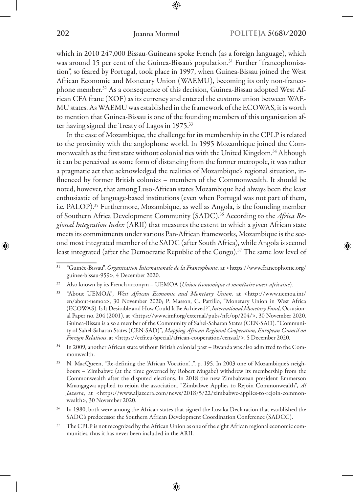which in 2010 247,000 Bissau-Guineans spoke French (as a foreign language), which was around 15 per cent of the Guinea-Bissau's population.<sup>31</sup> Further "francophonisation", so feared by Portugal, took place in 1997, when Guinea-Bissau joined the West African Economic and Monetary Union (WAEMU), becoming its only non-francophone member.<sup>32</sup> As a consequence of this decision, Guinea-Bissau adopted West African CFA franc (XOF) as its currency and entered the customs union between WAE-MU states. As WAEMU was established in the framework of the ECOWAS, it is worth to mention that Guinea-Bissau is one of the founding members of this organisation after having signed the Treaty of Lagos in 1975.33

In the case of Mozambique, the challenge for its membership in the CPLP is related to the proximity with the anglophone world. In 1995 Mozambique joined the Commonwealth as the first state without colonial ties with the United Kingdom.<sup>34</sup> Although it can be perceived as some form of distancing from the former metropole, it was rather a pragmatic act that acknowledged the realities of Mozambique's regional situation, influenced by former British colonies – members of the Commonwealth. It should be noted, however, that among Luso-African states Mozambique had always been the least enthusiastic of language-based institutions (even when Portugal was not part of them, i.e. PALOP).35 Furthermore, Mozambique, as well as Angola, is the founding member of Southern Africa Development Community (SADC).36 According to the *Africa Regional Integration Index* (ARII) that measures the extent to which a given African state meets its commitments under various Pan-African frameworks, Mozambique is the second most integrated member of the SADC (after South Africa), while Angola is second least integrated (after the Democratic Republic of the Congo).<sup>37</sup> The same low level of

<sup>31</sup> "Guinée-Bissau", *Organisation Internationale de la Francophonie*, at <https://www.francophonie.org/ guinee-bissau-959>, 4 December 2020.

<sup>32</sup> Also known by its French acronym – UEMOA (*Union économique et monétaire ouest-africaine*).

<sup>33</sup> "About UEMOA"*, West African Economic and Monetary Union*, at <http://www.uemoa.int/ en/about-uemoa>, 30 November 2020; P. Masson, C. Pattillo, "Monetary Union in West Africa (ECOWAS). Is It Desirable and How Could It Be Achieved?", *International Monetary Fund,* Occasional Paper no. 204 (2001), at <https://www.imf.org/external/pubs/nft/op/204/>, 30 November 2020. Guinea-Bissau is also a member of the Community of Sahel-Saharan States (CEN-SAD). "Community of Sahel-Saharan States (CEN-SAD)"*, Mapping African Regional Cooperation, European Council on Foreign Relations*, at <https://ecfr.eu/special/african-cooperation/censad/>, 5 December 2020.

<sup>34</sup> In 2009, another African state without British colonial past – Rwanda was also admitted to the Commonwealth.

<sup>35</sup> N. MacQueen, "Re-defining the 'African Vocation'…", p. 195. In 2003 one of Mozambique's neighbours – Zimbabwe (at the time governed by Robert Mugabe) withdrew its membership from the Commonwealth after the disputed elections. In 2018 the new Zimbabwean president Emmerson Mnangagwa applied to rejoin the association. "Zimbabwe Applies to Rejoin Commonwealth"*, Al Jazeera*, at <https://www.aljazeera.com/news/2018/5/22/zimbabwe-applies-to-rejoin-commonwealth>, 30 November 2020.

<sup>&</sup>lt;sup>36</sup> In 1980, both were among the African states that signed the Lusaka Declaration that established the SADC's predecessor the Southern African Development Coordination Conference (SADCC).

<sup>&</sup>lt;sup>37</sup> The CPLP is not recognized by the African Union as one of the eight African regional economic communities, thus it has never been included in the ARII.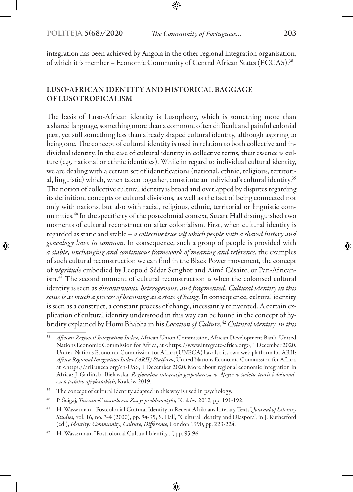integration has been achieved by Angola in the other regional integration organisation, of which it is member – Economic Community of Central African States (ECCAS).38

# LUSO-AFRICAN IDENTITY AND HISTORICAL BAGGAGE OF LUSOTROPICALISM

The basis of Luso-African identity is Lusophony, which is something more than a shared language, something more than a common, often difficult and painful colonial past, yet still something less than already shaped cultural identity, although aspiring to being one. The concept of cultural identity is used in relation to both collective and individual identity. In the case of cultural identity in collective terms, their essence is culture (e.g. national or ethnic identities). While in regard to individual cultural identity, we are dealing with a certain set of identifications (national, ethnic, religious, territorial, linguistic) which, when taken together, constitute an individual's cultural identity.<sup>39</sup> The notion of collective cultural identity is broad and overlapped by disputes regarding its definition, concepts or cultural divisions, as well as the fact of being connected not only with nations, but also with racial, religious, ethnic, territorial or linguistic communities.40 In the specificity of the postcolonial context, Stuart Hall distinguished two moments of cultural reconstruction after colonialism. First, when cultural identity is regarded as static and stable – *a collective true self which people with a shared history and genealogy have in common*. In consequence, such a group of people is provided with *a stable, unchanging and continuous framework of meaning and reference*, the examples of such cultural reconstruction we can find in the Black Power movement, the concept of *négritude* embodied by Leopold Sédar Senghor and Aimé Césaire, or Pan-Africanism.41 The second moment of cultural reconstruction is when the colonised cultural identity is seen as *discontinuous, heterogenous, and fragmented. Cultural identity in this sense is as much a process of becoming as a state of being*. In consequence, cultural identity is seen as a construct, a constant process of change, incessantly reinvented. A certain explication of cultural identity understood in this way can be found in the concept of hybridity explained by Homi Bhabha in his *Location of Culture.*<sup>42</sup> *Cultural identity, in this* 

<sup>38</sup> *African Regional Integration Index*, African Union Commission, African Development Bank, United Nations Economic Commission for Africa, at <https://www.integrate-africa.org>, 1 December 2020. United Nations Economic Commission for Africa (UNECA) has also its own web platform for ARII: *Africa Regional Integration Index (ARII) Platform*, United Nations Economic Commission for Africa, at <https://arii.uneca.org/en-US>, 1 December 2020. More about regional economic integration in Africa: J. Garlińska-Bielawska, *Regionalna integracja gospodarcza w Afryce w świetle teorii i doświadczeń państw afrykańskich,* Kraków 2019.

<sup>&</sup>lt;sup>39</sup> The concept of cultural identity adapted in this way is used in psychology.

<sup>40</sup> P. Ścigaj, *Tożsamość narodowa. Zarys problematyki,* Kraków 2012, pp. 191-192.

<sup>41</sup> H. Wasserman, "Postcolonial Cultural Identity in Recent Afrikaans Literary Texts", *Journal of Literary Studies,* vol. 16, no. 3-4 (2000), pp. 94-95; S. Hall, "Cultural Identity and Diaspora", in J. Rutherford (ed.), *Identity: Community, Culture, Difference*, London 1990, pp. 223-224.

<sup>42</sup> H. Wasserman, "Postcolonial Cultural Identity…", pp. 95-96.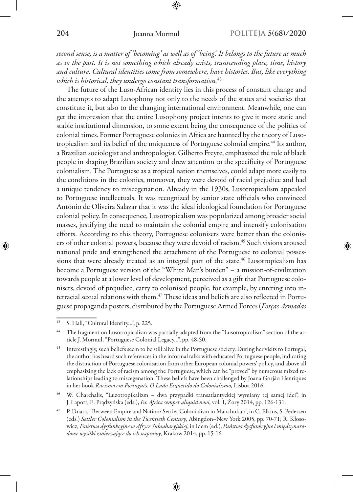*second sense, is a matter of 'becoming' as well as of 'being'. It belongs to the future as much as to the past. It is not something which already exists, transcending place, time, history and culture. Cultural identities come from somewhere, have histories. But, like everything which is historical, they undergo constant transformation.*<sup>43</sup>

The future of the Luso-African identity lies in this process of constant change and the attempts to adapt Lusophony not only to the needs of the states and societies that constitute it, but also to the changing international environment. Meanwhile, one can get the impression that the entire Lusophony project intents to give it more static and stable institutional dimension, to some extent being the consequence of the politics of colonial times. Former Portuguese colonies in Africa are haunted by the theory of Lusotropicalism and its belief of the uniqueness of Portuguese colonial empire.44 Its author, a Brazilian sociologist and anthropologist, Gilberto Freyre, emphasized the role of black people in shaping Brazilian society and drew attention to the specificity of Portuguese colonialism. The Portuguese as a tropical nation themselves, could adapt more easily to the conditions in the colonies, moreover, they were devoid of racial prejudice and had a unique tendency to miscegenation. Already in the 1930s, Lusotropicalism appealed to Portuguese intellectuals. It was recognized by senior state officials who convinced António de Oliveira Salazar that it was the ideal ideological foundation for Portuguese colonial policy. In consequence, Lusotropicalism was popularized among broader social masses, justifying the need to maintain the colonial empire and intensify colonisation efforts. According to this theory, Portuguese colonisers were better than the colonisers of other colonial powers, because they were devoid of racism.45 Such visions aroused national pride and strengthened the attachment of the Portuguese to colonial possessions that were already treated as an integral part of the state.<sup>46</sup> Lusotropicalism has become a Portuguese version of the "White Man's burden" – a mission-of-civilization towards people at a lower level of development, perceived as a gift that Portuguese colonisers, devoid of prejudice, carry to colonised people, for example, by entering into interracial sexual relations with them.47 These ideas and beliefs are also reflected in Portuguese propaganda posters, distributed by the Portuguese Armed Forces (*Forças Armadas* 

<sup>46</sup> W. Charchalis, "Luzotropikalizm – dwa przypadki transatlantyckiej wymiany tej samej idei", in J. Łapott, E. Prądzyńska (eds.), *Ex Africa semper aliquid novi*, vol. 1, Żory 2014, pp. 126-131.

<sup>43</sup> S. Hall, "Cultural Identity…", p. 225.

The fragment on Lusotropicalism was partially adapted from the "Lusotropicalism" section of the article J. Mormul, "Portuguese Colonial Legacy…", pp. 48-50.

<sup>45</sup> Interestingly, such beliefs seem to be still alive in the Portuguese society. During her visits to Portugal, the author has heard such references in the informal talks with educated Portuguese people, indicating the distinction of Portuguese colonisation from other European colonial powers' policy, and above all emphasizing the lack of racism among the Portuguese, which can be "proved" by numerous mixed relationships leading to miscegenation. These beliefs have been challenged by Joana Gorjão Henriques in her book *Racismo em Português. O Lado Esquecido do Colonialismo,* Lisboa 2016.

<sup>47</sup> P. Duara, "Between Empire and Nation: Settler Colonialism in Manchukuo", in C. Elkins, S. Pedersen (eds.) *Settler Colonialism in the Twentieth Century*, Abingdon–New York 2005, pp. 70-71; R. Kłosowicz, *Państwa dysfunkcyjne w Afryce Subsaharyjskiej*, in Idem (ed.), *Państwa dysfunkcyjne i międzynarodowe wysiłki zmierzające do ich naprawy*, Kraków 2014, pp. 15-16.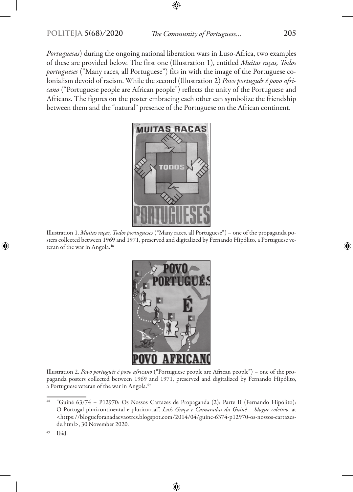*Portuguesas*) during the ongoing national liberation wars in Luso-Africa, two examples of these are provided below. The first one (Illustration 1), entitled *Muitas raças, Todos portugueses* ("Many races, all Portuguese") fits in with the image of the Portuguese colonialism devoid of racism. While the second (Illustration 2) *Povo português é povo africano* ("Portuguese people are African people") reflects the unity of the Portuguese and Africans. The figures on the poster embracing each other can symbolize the friendship between them and the "natural" presence of the Portuguese on the African continent.



Illustration 1. *Muitas raças, Todos portugueses* ("Many races, all Portuguese") – one of the propaganda posters collected between 1969 and 1971, preserved and digitalized by Fernando Hipólito, a Portuguese veteran of the war in Angola.<sup>48</sup>



Illustration 2. *Povo português é povo africano* ("Portuguese people are African people") – one of the propaganda posters collected between 1969 and 1971, preserved and digitalized by Fernando Hipólito, a Portuguese veteran of the war in Angola.<sup>49</sup>

<sup>48</sup> "Guiné 63/74 – P12970: Os Nossos Cartazes de Propaganda (2): Parte II (Fernando Hipólito): O Portugal pluricontinental e plurirracial", *Luís Graça e Camaradas da Guiné – blogue coletivo*, at <https://blogueforanadaevaotres.blogspot.com/2014/04/guine-6374-p12970-os-nossos-cartazesde.html>, 30 November 2020.

 $49$  Ibid.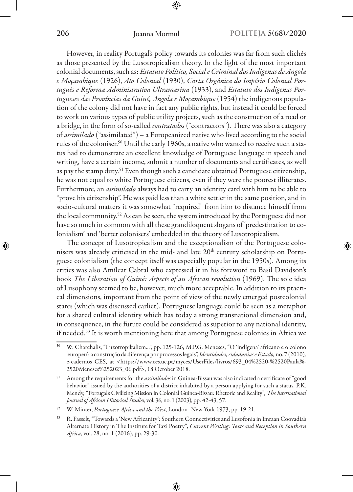However, in reality Portugal's policy towards its colonies was far from such clichés as those presented by the Lusotropicalism theory. In the light of the most important colonial documents, such as: *Estatuto Político, Social e Criminal dos Indígenas de Angola e Moçambique* (1926), *Ato Colonial* (1930), *Carta Orgânica do Império Colonial Português e Reforma Administrativa Ultramarina* (1933), and *Estatuto dos Indígenas Portugueses das Províncias da Guiné, Angola e Moçambique* (1954) the indigenous population of the colony did not have in fact any public rights, but instead it could be forced to work on various types of public utility projects, such as the construction of a road or a bridge, in the form of so-called *contratados* ("contractors"). There was also a category of *assimilado* ("assimilated") – a Europeanized native who lived according to the social rules of the coloniser.50 Until the early 1960s, a native who wanted to receive such a status had to demonstrate an excellent knowledge of Portuguese language in speech and writing, have a certain income, submit a number of documents and certificates, as well as pay the stamp duty.<sup>51</sup> Even though such a candidate obtained Portuguese citizenship, he was not equal to white Portuguese citizens, even if they were the poorest illiterates. Furthermore, an *assimilado* always had to carry an identity card with him to be able to "prove his citizenship". He was paid less than a white settler in the same position, and in socio-cultural matters it was somewhat "required" from him to distance himself from the local community.52 As can be seen, the system introduced by the Portuguese did not have so much in common with all these grandiloquent slogans of 'predestination to colonialism' and 'better colonisers' embedded in the theory of Lusotropicalism.

The concept of Lusotropicalism and the exceptionalism of the Portuguese colonisers was already criticised in the mid- and late 20<sup>th</sup> century scholarship on Portuguese colonialism (the concept itself was especially popular in the 1950s). Among its critics was also Amílcar Cabral who expressed it in his foreword to Basil Davidson's book *The Liberation of Guiné: Aspects of an African revolution* (1969). The sole idea of Lusophony seemed to be, however, much more acceptable. In addition to its practical dimensions, important from the point of view of the newly emerged postcolonial states (which was discussed earlier), Portuguese language could be seen as a metaphor for a shared cultural identity which has today a strong transnational dimension and, in consequence, in the future could be considered as superior to any national identity, if needed.53 It is worth mentioning here that among Portuguese colonies in Africa we

<sup>50</sup> W. Charchalis, "Luzotropikalizm...", pp. 125-126; M.P.G. Meneses, "O 'indígena' africano e o colono 'europeu': a construção da diferença por processos legais", *Identidades, cidadanias e Estado,* no. 7 (2010)*,*  e-cadernos CES, at <https://www.ces.uc.pt/myces/UserFiles/livros/693\_04%2520-%2520Paula%- 2520Meneses%252023\_06.pdf>, 18 October 2018.

<sup>51</sup> Among the requirements for the *assimilados* in Guinea-Bissau was also indicated a certificate of "good behavior" issued by the authorities of a district inhabited by a person applying for such a status. P.K. Mendy, "Portugal's Civilizing Mission in Colonial Guinea-Bissau: Rhetoric and Reality"*, The International Journal of African Historical Studies*, vol. 36, no. 1 (2003), pp. 42-43, 57.

<sup>52</sup> W. Minter, *Portuguese Africa and the West*, London–New York 1973, pp. 19-21.

<sup>53</sup> R. Fasselt, "Towards a 'New Africanity': Southern Connectivities and Lusofonia in Imraan Coovadia's Alternate History in The Institute for Taxi Poetry"*, Current Writing: Texts and Reception in Southern Africa*, vol. 28, no. 1 (2016), pp. 29-30.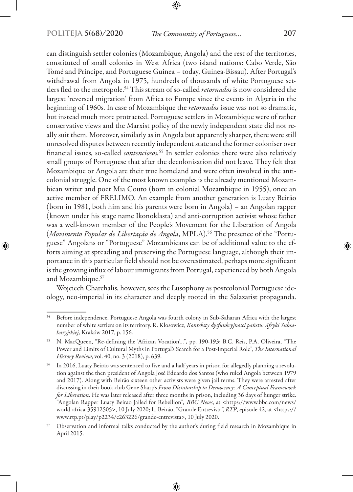can distinguish settler colonies (Mozambique, Angola) and the rest of the territories, constituted of small colonies in West Africa (two island nations: Cabo Verde, São Tomé and Príncipe, and Portuguese Guinea – today, Guinea-Bissau). After Portugal's withdrawal from Angola in 1975, hundreds of thousands of white Portuguese settlers fled to the metropole.54 This stream of so-called *retornados* is now considered the largest 'reversed migration' from Africa to Europe since the events in Algeria in the beginning of 1960s. In case of Mozambique the *retornados* issue was not so dramatic, but instead much more protracted. Portuguese settlers in Mozambique were of rather conservative views and the Marxist policy of the newly independent state did not really suit them. Moreover, similarly as in Angola but apparently sharper, there were still unresolved disputes between recently independent state and the former coloniser over financial issues, so-called *contenciosos.*55 In settler colonies there were also relatively small groups of Portuguese that after the decolonisation did not leave. They felt that Mozambique or Angola are their true homeland and were often involved in the anticolonial struggle. One of the most known examples is the already mentioned Mozambican writer and poet Mia Couto (born in colonial Mozambique in 1955), once an active member of FRELIMO. An example from another generation is Luaty Beirão (born in 1981, both him and his parents were born in Angola) – an Angolan rapper (known under his stage name Ikonoklasta) and anti-corruption activist whose father was a well-known member of the People's Movement for the Liberation of Angola (*Movimento Popular de Libertação de Angola*, MPLA).56 The presence of the "Portuguese" Angolans or "Portuguese" Mozambicans can be of additional value to the efforts aiming at spreading and preserving the Portuguese language, although their importance in this particular field should not be overestimated, perhaps more significant is the growing influx of labour immigrants from Portugal, experienced by both Angola and Mozambique.57

Wojciech Charchalis, however, sees the Lusophony as postcolonial Portuguese ideology, neo-imperial in its character and deeply rooted in the Salazarist propaganda.

<sup>54</sup> Before independence, Portuguese Angola was fourth colony in Sub-Saharan Africa with the largest number of white settlers on its territory. R. Kłosowicz, *Konteksty dysfunkcyjności państw Afryki Subsaharyjskiej,* Kraków 2017, p. 156.

<sup>55</sup> N. MacQueen, "Re-defining the 'African Vocation'…"*,* pp. 190-193; B.C. Reis, P.A. Oliveira, "The Power and Limits of Cultural Myths in Portugal's Search for a Post-Imperial Role", *The International History Review*, vol. 40, no. 3 (2018), p. 639.

<sup>56</sup> In 2016, Luaty Beirão was sentenced to five and a half years in prison for allegedly planning a revolution against the then president of Angola José Eduardo dos Santos (who ruled Angola between 1979 and 2017). Along with Beirão sixteen other activists were given jail terms. They were arrested after discussing in their book club Gene Sharp's *From Dictatorship to Democracy: A Conceptual Framework for Liberation*. He was later released after three months in prison, including 36 days of hunger strike. "Angolan Rapper Luaty Beirao Jailed for Rebellion"*, BBC News*, at <https://www.bbc.com/news/ world-africa-35912505>, 10 July 2020; L. Beirão, "Grande Entrevista", *RTP*, episode 42, at <https:// www.rtp.pt/play/p2234/e263226/grande-entrevista>, 10 July 2020.

<sup>57</sup> Observation and informal talks conducted by the author's during field research in Mozambique in April 2015.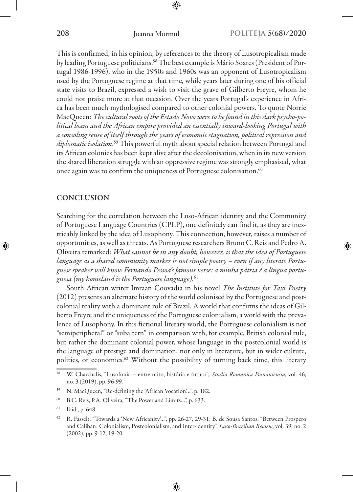This is confirmed, in his opinion, by references to the theory of Lusotropicalism made by leading Portuguese politicians.<sup>58</sup> The best example is Mário Soares (President of Portugal 1986-1996), who in the 1950s and 1960s was an opponent of Lusotropicalism used by the Portuguese regime at that time, while years later during one of his official state visits to Brazil, expressed a wish to visit the grave of Gilberto Freyre, whom he could not praise more at that occasion. Over the years Portugal's experience in Africa has been much mythologised compared to other colonial powers. To quote Norrie MacQueen: *The cultural roots of the Estado Novo were to be found in this dark psycho-political loam and the African empire provided an essentially inward-looking Portugal with a consoling sense of itself through the years of economic stagnation, political repression and diplomatic isolation*. 59 This powerful myth about special relation between Portugal and its African colonies has been kept alive after the decolonisation, when in its new version the shared liberation struggle with an oppressive regime was strongly emphasised, what once again was to confirm the uniqueness of Portuguese colonisation.<sup>60</sup>

## **CONCLUSION**

Searching for the correlation between the Luso-African identity and the Community of Portuguese Language Countries (CPLP), one definitely can find it, as they are inextricably linked by the idea of Lusophony. This connection, however, raises a number of opportunities, as well as threats. As Portuguese researchers Bruno C. Reis and Pedro A. Oliveira remarked: *What cannot be in any doubt, however, is that the idea of Portuguese language as a shared community marker is not simple poetry – even if any literate Portuguese speaker will know Fernando Pessoa's famous verse: a minha pátria é a língua portuguesa (my homeland is the Portuguese language).*<sup>61</sup>

South African writer Imraan Coovadia in his novel *The Institute for Taxi Poetry*  (2012) presents an alternate history of the world colonised by the Portuguese and postcolonial reality with a dominant role of Brazil. A world that confirms the ideas of Gilberto Freyre and the uniqueness of the Portuguese colonialism, a world with the prevalence of Lusophony. In this fictional literary world, the Portuguese colonialism is not "semiperipheral" or "subaltern" in comparison with, for example, British colonial rule, but rather the dominant colonial power, whose language in the postcolonial world is the language of prestige and domination, not only in literature, but in wider culture, politics, or economics.<sup>62</sup> Without the possibility of turning back time, this literary

<sup>58</sup> W. Charchalis, "Lusofonia – entre mito, história e futuro"*, Studia Romanica Posnaniensia*, vol. 46, no. 3 (2019), pp. 96-99.

<sup>59</sup> N. MacQueen, "Re-defining the 'African Vocation'…", p. 182.

<sup>60</sup> B.C. Reis, P.A. Oliveira, "The Power and Limits…", p. 633.

<sup>61</sup> Ibid., p. 648.

<sup>62</sup> R. Fasselt, "Towards a 'New Africanity'…", pp. 26-27, 29-31; B. de Sousa Santos, "Between Prospero and Caliban: Colonialism, Postcolonialism, and Inter-identity", *Luso-Brazilian Review*, vol. 39, no. 2 (2002), pp. 9-12, 19-20.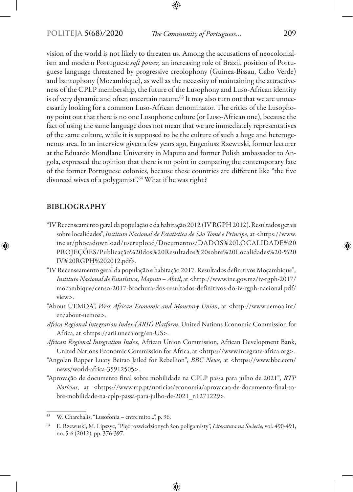vision of the world is not likely to threaten us. Among the accusations of neocolonialism and modern Portuguese *soft power,* an increasing role of Brazil, position of Portuguese language threatened by progressive creolophony (Guinea-Bissau, Cabo Verde) and bantuphony (Mozambique), as well as the necessity of maintaining the attractiveness of the CPLP membership, the future of the Lusophony and Luso-African identity is of very dynamic and often uncertain nature.<sup>63</sup> It may also turn out that we are unnecessarily looking for a common Luso-African denominator. The critics of the Lusophony point out that there is no one Lusophone culture (or Luso-African one), because the fact of using the same language does not mean that we are immediately representatives of the same culture, while it is supposed to be the culture of such a huge and heterogeneous area. In an interview given a few years ago, Eugeniusz Rzewuski, former lecturer at the Eduardo Mondlane University in Maputo and former Polish ambassador to Angola, expressed the opinion that there is no point in comparing the contemporary fate of the former Portuguese colonies, because these countries are different like "the five divorced wives of a polygamist".<sup>64</sup> What if he was right?

### BIBLIOGRAPHY

- "IV Recenseamento geral da população e da habitação 2012 (IV RGPH 2012). Resultados gerais sobre localidades", *Instituto Nacional de Estatística de São Tomé e Príncipe*, at <https://www. ine.st/phocadownload/userupload/Documentos/DADOS%20LOCALIDADE%20 PROJEÇÕES/Publicação%20dos%20Resultados%20sobre%20Localidades%20-%20 IV%20RGPH%202012.pdf>.
- "IV Recenseamento geral da população e habitação 2017. Resultados definitivos Moçambique"*, Instituto Nacional de Estatística, Maputo – Abril*, at <http://www.ine.gov.mz/iv-rgph-2017/ mocambique/censo-2017-brochura-dos-resultados-definitivos-do-iv-rgph-nacional.pdf/ view>.
- "About UEMOA", *West African Economic and Monetary Union*, at <http://www.uemoa.int/ en/about-uemoa>.
- *Africa Regional Integration Index (ARII) Platform*, United Nations Economic Commission for Africa, at <https://arii.uneca.org/en-US>.
- *African Regional Integration Index*, African Union Commission, African Development Bank, United Nations Economic Commission for Africa, at <https://www.integrate-africa.org>.
- "Angolan Rapper Luaty Beirao Jailed for Rebellion"*, BBC News*, at <https://www.bbc.com/ news/world-africa-35912505>.
- "Aprovação de documento final sobre mobilidade na CPLP passa para julho de 2021"*, RTP Notícias*, at <https://www.rtp.pt/noticias/economia/aprovacao-de-documento-final-sobre-mobilidade-na-cplp-passa-para-julho-de-2021\_n1271229>.

<sup>63</sup> W. Charchalis, "Lusofonia – entre mito...", p. 96.

<sup>64</sup> E. Rzewuski, M. Lipszyc, "Pięć rozwiedzionych żon poligamisty", *Literatura na Świecie*, vol. 490-491, no. 5-6 (2012), pp. 376-397.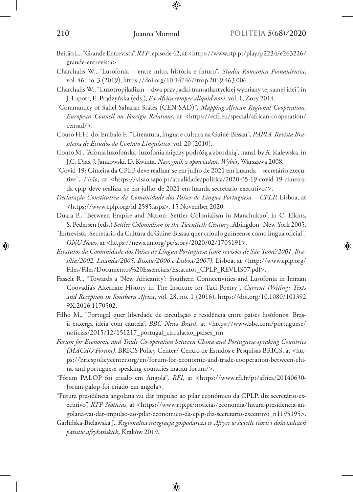- Beirão L.,"Grande Entrevista", *RTP*, episode 42, at <https://www.rtp.pt/play/p2234/e263226/ grande-entrevista>.
- Charchalis W., "Lusofonia entre mito, história e futuro"*, Studia Romanica Posnaniensia*, vol. 46, no. 3 (2019), https://doi.org/10.14746/strop.2019.463.006.
- Charchalis W., "Luzotropikalizm dwa przypadki transatlantyckiej wymiany tej samej idei", in J. Łapott, E. Prądzyńska (eds.), *Ex Africa semper aliquid novi*, vol. 1, Żory 2014.
- "Community of Sahel-Saharan States (CEN-SAD)"*, Mapping African Regional Cooperation, European Council on Foreign Relations*, at <https://ecfr.eu/special/african-cooperation/ censad/>.
- Couto H.H. do, Embaló F., "Literatura, língua e cultura na Guiné-Bissau"*, PAPIA. Revista Brasileira de Estudos do Contato Linguístico*, vol. 20 (2010).
- Couto M., "Afonia luzofońska: luzofonia między podróżą a zbrodnią", transl. by A. Kalewska, in J.C. Dias, J. Jankowski, D. Kwinta, *Naszyjnik z opowiadań. Wybór,* Warszawa 2008.
- "Covid-19: Cimeira da CPLP deve realizar-se em julho de 2021 em Luanda secretário executive"*, Visão*, at <https://visao.sapo.pt/atualidade/politica/2020-05-19-covid-19-cimeirada-cplp-deve-realizar-se-em-julho-de-2021-em-luanda-secretario-executivo/>.
- *Declaração Constitutiva da Comunidade dos Países de Língua Portuguesa CPLP,* Lisboa, at <https://www.cplp.org/id-2595.aspx>, 15 November 2020.
- Duara P., "Between Empire and Nation: Settler Colonialism in Manchukuo", in C. Elkins, S. Pedersen (eds.) *Settler Colonialism in the Twentieth Century*, Abingdon–New York 2005.
- "Entrevista: Secretário da Cultura da Guiné-Bissau quer crioulo guineense como língua oficial"*, ONU News*, at <https://news.un.org/pt/story/2020/02/1705191>.
- *Estatutos da Comunidade dos Países de Língua Portuguesa (com revisões de São Tomé/2001, Brasília/2002, Luanda/2005, Bissau/2006 e Lisboa/2007),* Lisboa, at <http://www.cplp.org/ Files/Filer/Documentos%20Essenciais/Estatutos\_CPLP\_REVLIS07.pdf>.
- Fasselt R., "Towards a 'New Africanity': Southern Connectivities and Lusofonia in Imraan Coovadia's Alternate History in The Institute for Taxi Poetry"*, Current Writing: Texts and Reception in Southern Africa*, vol. 28, no. 1 (2016), https://doi.org/10.1080/101392 9X.2016.1170502.
- Filho M., "Portugal quer liberdade de circulação e residência entre países lusófonos: Brasil enxerga ideia com cautela", *BBC News Brasil*, at <https://www.bbc.com/portuguese/ noticias/2015/12/151217\_portugal\_circulacao\_paises\_rm.
- *Forum for Economic and Trade Co-operation between China and Portuguese-speaking Countries (MACAO Forum)*, BRICS Policy Center/ Centro de Estudos e Pesquisas BRICS, at <https://bricspolicycenter.org/en/forum-for-economic-and-trade-cooperation-between-china-and-portuguese-speaking-countries-macau-forum/>.
- "Fórum PALOP foi criado em Angola"*, RFI*, at <https://www.rfi.fr/pt/africa/20140630 forum-palop-foi-criado-em-angola>.
- "Futura presidência angolana vai dar impulso ao pilar económico da CPLP, diz secretário-executivo", *RTP Notícias*, at <https://www.rtp.pt/noticias/economia/futura-presidencia-angolana-vai-dar-impulso-ao-pilar-economico-da-cplp-diz-secretario-executivo\_n1195195>.
- Garlińska-Bielawska J., *Regionalna integracja gospodarcza w Afryce w świetle teorii i doświadczeń państw afrykańskich,* Kraków 2019.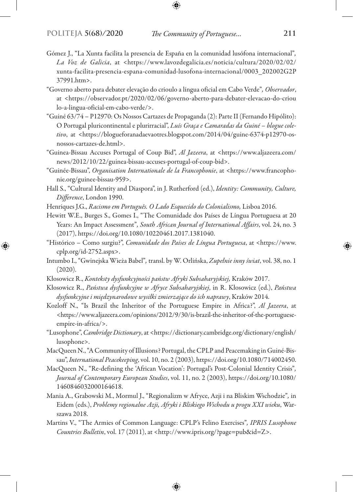- Gómez J., "La Xunta facilita la presencia de España en la comunidad lusófona internacional"*, La Voz de Galicia*, at <https://www.lavozdegalicia.es/noticia/cultura/2020/02/02/ xunta-facilita-presencia-espana-comunidad-lusofona-internacional/0003\_202002G2P 37991.htm>.
- "Governo aberto para debater elevação do crioulo a língua oficial em Cabo Verde"*, Observador*, at <https://observador.pt/2020/02/06/governo-aberto-para-debater-elevacao-do-criou lo-a-lingua-oficial-em-cabo-verde/>.
- "Guiné 63/74 P12970: Os Nossos Cartazes de Propaganda (2): Parte II (Fernando Hipólito): O Portugal pluricontinental e plurirracial", *Luís Graça e Camaradas da Guiné – blogue coletivo*, at <https://blogueforanadaevaotres.blogspot.com/2014/04/guine-6374-p12970-osnossos-cartazes-de.html>.
- "Guinea-Bissau Accuses Portugal of Coup Bid", *Al Jazeera*, at <https://www.aljazeera.com/ news/2012/10/22/guinea-bissau-accuses-portugal-of-coup-bid>.
- "Guinée-Bissau", *Organisation Internationale de la Francophonie*, at <https://www.francophonie.org/guinee-bissau-959>.
- Hall S., "Cultural Identity and Diaspora", in J. Rutherford (ed.), *Identity: Community, Culture, Difference*, London 1990.
- Henriques J.G., *Racismo em Português. O Lado Esquecido do Colonialismo*, Lisboa 2016.
- Hewitt W.E., Burges S., Gomes I., "The Comunidade dos Países de Língua Portuguesa at 20 Years: An Impact Assessment"*, South African Journal of International Affairs*, vol. 24, no. 3 (2017), https://doi.org/10.1080/10220461.2017.1381040.
- "Histórico Como surgiu?", *Comunidade dos Países de Língua Portuguesa*, at <https://www. cplp.org/id-2752.aspx>.
- Intumbo I., "Gwinejska Wieża Babel"*,* transl. by W. Orlińska, *Zupełnie inny świat*, vol. 38, no. 1 (2020).
- Kłosowicz R., *Konteksty dysfunkcyjności państw Afryki Subsaharyjskiej,* Kraków 2017.
- Kłosowicz R., *Państwa dysfunkcyjne w Afryce Subsaharyjskiej*, in R. Kłosowicz (ed.), *Państwa dysfunkcyjne i międzynarodowe wysiłki zmierzające do ich naprawy*, Kraków 2014.
- Kozloff N., "Is Brazil the Inheritor of the Portuguese Empire in Africa?", *Al Jazeera*, at <https://www.aljazeera.com/opinions/2012/9/30/is-brazil-the-inheritor-of-the-portugueseempire-in-africa/>.
- "Lusophone", *Cambridge Dictionary*, at <https://dictionary.cambridge.org/dictionary/english/ lusophone>.
- MacQueen N., "A Community of Illusions? Portugal, the CPLP and Peacemaking in Guiné-Bissau", *International Peacekeeping*, vol. 10, no. 2 (2003), https://doi.org/10.1080/714002450.
- MacQueen N., "Re-defining the 'African Vocation': Portugal's Post-Colonial Identity Crisis"*, Journal of Contemporary European Studies*, vol. 11, no. 2 (2003), https://doi.org/10.1080/ 1460846032000164618.
- Mania A., Grabowski M., Mormul J., "Regionalizm w Afryce, Azji i na Bliskim Wschodzie"*,* in Eidem (eds.), *Problemy regionalne Azji, Afryki i Bliskiego Wschodu u progu XXI wieku*, Warszawa 2018.
- Martins V., "The Armies of Common Language: CPLP's Felino Exercises"*, IPRIS Lusophone Countries Bulletin*, vol. 17 (2011), at <http://www.ipris.org/?page=pub&id=Z>.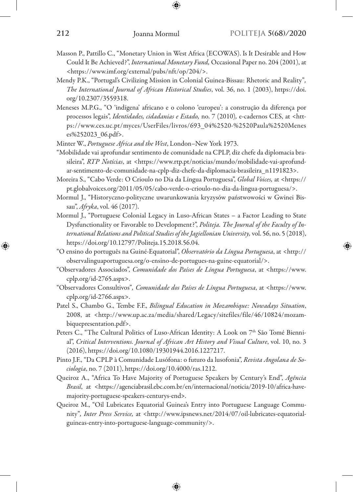- Masson P., Pattillo C., "Monetary Union in West Africa (ECOWAS). Is It Desirable and How Could It Be Achieved?", *International Monetary Fund,* Occasional Paper no. 204 (2001), at <https://www.imf.org/external/pubs/nft/op/204/>.
- Mendy P.K., "Portugal's Civilizing Mission in Colonial Guinea-Bissau: Rhetoric and Reality"*, The International Journal of African Historical Studies*, vol. 36, no. 1 (2003), https://doi. org/10.2307/3559318.
- Meneses M.P.G., "O 'indígena' africano e o colono 'europeu': a construção da diferença por processos legais", *Identidades, cidadanias e Estado,* no. 7 (2010)*,* e-cadernos CES, at <https://www.ces.uc.pt/myces/UserFiles/livros/693\_04%2520-%2520Paula%2520Menes es%252023\_06.pdf>.
- Minter W., *Portuguese Africa and the West*, London–New York 1973.
- "Mobilidade vai aprofundar sentimento de comunidade na CPLP, diz chefe da diplomacia brasileira", *RTP Notícias*, at <https://www.rtp.pt/noticias/mundo/mobilidade-vai-aprofundar-sentimento-de-comunidade-na-cplp-diz-chefe-da-diplomacia-brasileira\_n1191823>.
- Moreira S., "Cabo Verde: O Crioulo no Dia da Língua Portuguesa", *Global Voices,* at <https:// pt.globalvoices.org/2011/05/05/cabo-verde-o-crioulo-no-dia-da-lingua-portuguesa/>.
- Mormul J., "Historyczno-polityczne uwarunkowania kryzysów państwowości w Gwinei Bissau", *Afryka*, vol. 46 (2017).
- Mormul J., "Portuguese Colonial Legacy in Luso-African States a Factor Leading to State Dysfunctionality or Favorable to Development?", *Politeja. The Journal of the Faculty of International Relations and Political Studies of the Jagiellonian University,* vol. 56, no. 5 (2018), https://doi.org/10.12797/Politeja.15.2018.56.04.
- "O ensino do português na Guiné-Equatorial", *Observatório da Língua Portuguesa*, at <http:// observalinguaportuguesa.org/o-ensino-de-portugues-na-guine-equatorial/>.
- "Observadores Associados", *Comunidade dos Países de Língua Portuguesa*, at <https://www. cplp.org/id-2765.aspx>.
- "Observadores Consultivos"*, Comunidade dos Países de Língua Portuguesa*, at <https://www. cplp.org/id-2766.aspx>.
- Patel S., Chambo G., Tembe F.F., *Bilingual Education in Mozambique: Nowadays Situation*, 2008, at <http://www.up.ac.za/media/shared/Legacy/sitefiles/file/46/10824/mozambiquepresentation.pdf>.
- Peters C., "The Cultural Politics of Luso-African Identity: A Look on 7<sup>th</sup> São Tomé Biennial", *Critical Interventions. Journal of African Art History and Visual Culture*, vol. 10, no. 3 (2016), https://doi.org/10.1080/19301944.2016.1227217.
- Pinto J.F., "Da CPLP à Comunidade Lusófona: o futuro da lusofonia", *Revista Angolana de Sociologia*, no. 7 (2011), https://doi.org/10.4000/ras.1212.
- Queiroz A., "Africa To Have Majority of Portuguese Speakers by Century's End", *Agência Brasil*, at <https://agenciabrasil.ebc.com.br/en/internacional/noticia/2019-10/africa-havemajority-portuguese-speakers-centurys-end>.
- Queiroz M., "Oil Lubricates Equatorial Guinea's Entry into Portuguese Language Community"*, Inter Press Service,* at <http://www.ipsnews.net/2014/07/oil-lubricates-equatorialguineas-entry-into-portuguese-language-community/>.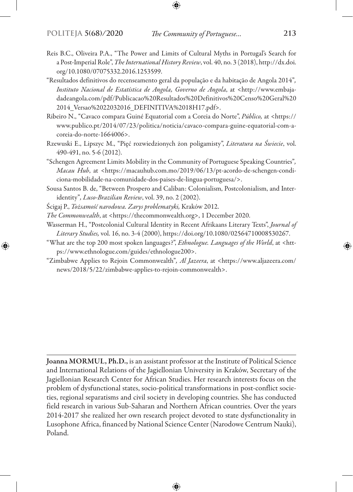- Reis B.C., Oliveira P.A., "The Power and Limits of Cultural Myths in Portugal's Search for a Post-Imperial Role", *The International History Review*, vol. 40, no. 3 (2018), http://dx.doi. org/10.1080/07075332.2016.1253599.
- "Resultados definitivos do recenseamento geral da população e da habitação de Angola 2014"*, Instituto Nacional de Estatística de Angola, Governo de Angola*, at <http://www.embajadadeangola.com/pdf/Publicacao%20Resultados%20Definitivos%20Censo%20Geral%20 2014\_Versao%2022032016\_DEFINITIVA%2018H17.pdf>.
- Ribeiro N., "Cavaco compara Guiné Equatorial com a Coreia do Norte", *Público,* at <https:// www.publico.pt/2014/07/23/politica/noticia/cavaco-compara-guine-equatorial-com-acoreia-do-norte-1664006>.
- Rzewuski E., Lipszyc M., "Pięć rozwiedzionych żon poligamisty", *Literatura na Świecie*, vol. 490-491, no. 5-6 (2012).
- "Schengen Agreement Limits Mobility in the Community of Portuguese Speaking Countries"*, Macau Hub*, at <https://macauhub.com.mo/2019/06/13/pt-acordo-de-schengen-condiciona-mobilidade-na-comunidade-dos-paises-de-lingua-portuguesa/>.
- Sousa Santos B. de, "Between Prospero and Caliban: Colonialism, Postcolonialism, and Interidentity"*, Luso-Brazilian Review*, vol. 39, no. 2 (2002).
- Ścigaj P., *Tożsamość narodowa. Zarys problematyki,* Kraków 2012.
- *The Commonwealth*, at <https://thecommonwealth.org>, 1 December 2020.
- Wasserman H., "Postcolonial Cultural Identity in Recent Afrikaans Literary Texts", *Journal of Literary Studies,* vol. 16, no. 3-4 (2000), https://doi.org/10.1080/02564710008530267.
- "What are the top 200 most spoken languages?", *Ethnologue. Languages of the World*, at <https://www.ethnologue.com/guides/ethnologue200>.
- "Zimbabwe Applies to Rejoin Commonwealth"*, Al Jazeera*, at <https://www.aljazeera.com/ news/2018/5/22/zimbabwe-applies-to-rejoin-commonwealth>.

Joanna MORMUL, Ph.D., is an assistant professor at the Institute of Political Science and International Relations of the Jagiellonian University in Kraków, Secretary of the Jagiellonian Research Center for African Studies. Her research interests focus on the problem of dysfunctional states, socio-political transformations in post-conflict societies, regional separatisms and civil society in developing countries. She has conducted field research in various Sub-Saharan and Northern African countries. Over the years 2014-2017 she realized her own research project devoted to state dysfunctionality in Lusophone Africa, financed by National Science Center (Narodowe Centrum Nauki), Poland.